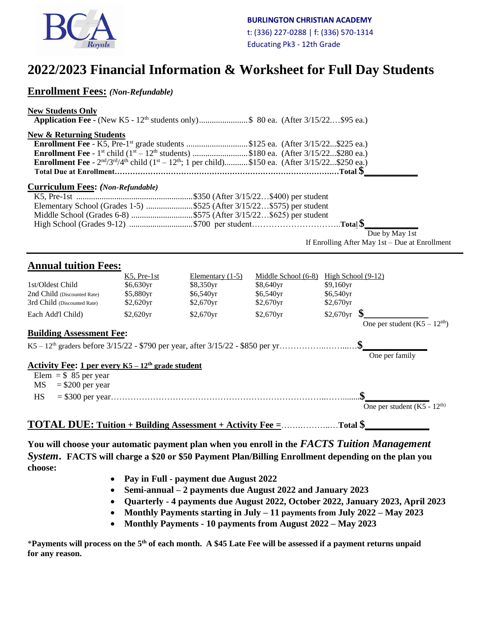

# **2022/2023 Financial Information & Worksheet for Full Day Students**

# **Enrollment Fees:** *(Non-Refundable)*

#### **New Students Only**

**Application Fee -** (New K5 - 12<sup>th</sup> students only)........................\$ 80 ea. (After 3/15/22....\$95 ea.)

### **New & Returning Students**

| <b>Enrollment Fee</b> - K5, Pre-1 <sup>st</sup> grade students \$125 ea. (After $3/15/22$ \$225 ea.)                       |  |
|----------------------------------------------------------------------------------------------------------------------------|--|
|                                                                                                                            |  |
| <b>Enrollment Fee</b> - $2^{nd}/3^{rd}/4^{th}$ child $(1^{st} - 12^{th})$ ; 1 per child)\$150 ea. (After 3/15/22\$250 ea.) |  |
|                                                                                                                            |  |

#### **Curriculum Fees:** *(Non-Refundable)*

 Due by May 1st If Enrolling After May 1st – Due at Enrollment

# **Annual tuition Fees:**

|                                 | $K5$ , Pre-1st         | Elementary $(1-5)$ | Middle School (6-8) | High School $(9-12)$          |  |  |  |  |  |
|---------------------------------|------------------------|--------------------|---------------------|-------------------------------|--|--|--|--|--|
| 1st/Oldest Child                | \$6,630yr              | \$8,350yr          | \$8,640yr           | $$9,160$ <sub>yr</sub>        |  |  |  |  |  |
| 2nd Child (Discounted Rate)     | \$5,880yr              | \$6,540yr          | \$6,540yr           | $$6,540$ yr                   |  |  |  |  |  |
| 3rd Child (Discounted Rate)     | $$2,620$ <sub>yr</sub> | \$2,670yr          | $$2,670$ yr         | \$2,670yr                     |  |  |  |  |  |
| Each Add'l Child)               | \$2,620yr              | \$2,670yr          | \$2,670yr           | $$2,670$ yr                   |  |  |  |  |  |
|                                 |                        |                    |                     | One per student $(K5 - 12th)$ |  |  |  |  |  |
| <b>Building Assessment Fee:</b> |                        |                    |                     |                               |  |  |  |  |  |
|                                 |                        |                    |                     |                               |  |  |  |  |  |
|                                 |                        |                    |                     | One per family                |  |  |  |  |  |

#### **Activity Fee: 1 per every K5 – 12th grade student**

|    | Elem = $$85$ per year |  |                               |  |
|----|-----------------------|--|-------------------------------|--|
|    | $MS = $200$ per year  |  |                               |  |
| HS |                       |  |                               |  |
|    |                       |  | One per student $(K5 - 12th)$ |  |

## **TOTAL DUE: Tuition + Building Assessment + Activity Fee =**…….………..…**Total \$\_\_\_\_\_\_\_\_\_\_\_\_**

**You will choose your automatic payment plan when you enroll in the** *FACTS Tuition Management System***. FACTS will charge a \$20 or \$50 Payment Plan/Billing Enrollment depending on the plan you choose:**

- • **Pay in Full - payment due August 2022**
- **Semi-annual – 2 payments due August 2022 and January 2023**
- **Quarterly - 4 payments due August 2022, October 2022, January 2023, April 2023**
- **Monthly Payments starting in July – 11 payments from July 2022 – May 2023**
- **Monthly Payments - 10 payments from August 2022 – May 2023**

\***Payments will process on the 5th of each month. A \$45 Late Fee will be assessed if a payment returns unpaid for any reason.**